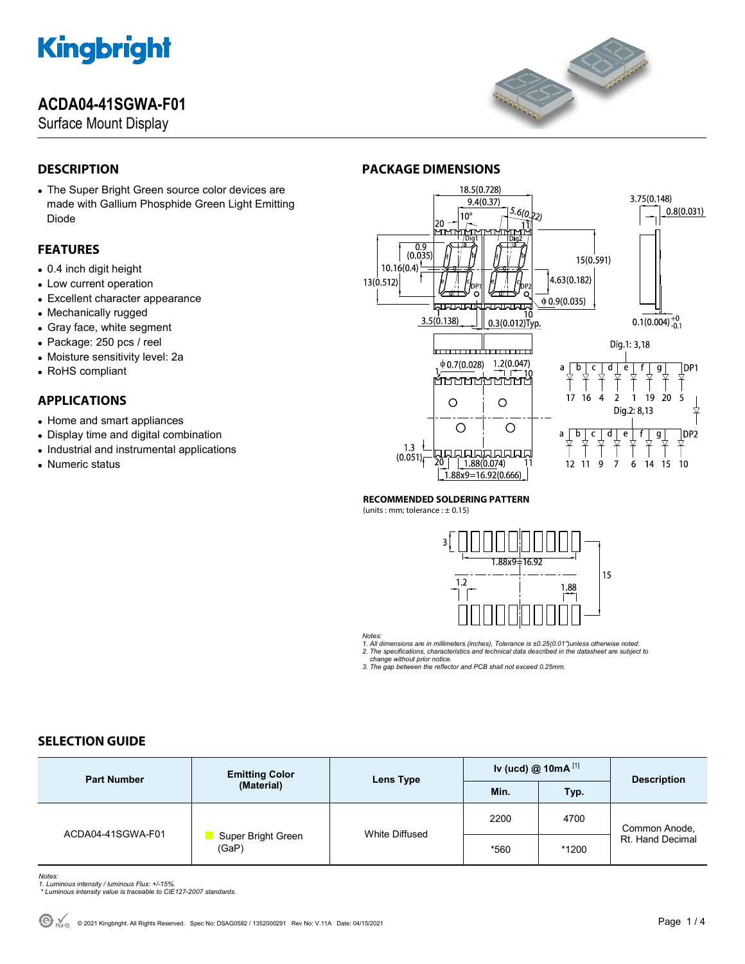### **ACDA04-41SGWA-F01**

Surface Mount Display



### **DESCRIPTION**

 The Super Bright Green source color devices are made with Gallium Phosphide Green Light Emitting Diode

### **FEATURES**

- 0.4 inch digit height
- Low current operation
- Excellent character appearance
- Mechanically rugged
- Gray face, white segment
- Package: 250 pcs / reel
- Moisture sensitivity level: 2a
- RoHS compliant

### **APPLICATIONS**

- Home and smart appliances
- Display time and digital combination
- Industrial and instrumental applications
- Numeric status

### **PACKAGE DIMENSIONS**



#### **RECOMMENDED SOLDERING PATTERN**

(units : mm; tolerance :  $\pm$  0.15)



*Notes:* 

*1. All dimensions are in millimeters (inches), Tolerance is ±0.25(0.01")unless otherwise noted. 2. The specifications, characteristics and technical data described in the datasheet are subject to* 

 *change without prior notice. 3. The gap between the reflector and PCB shall not exceed 0.25mm.* 

### **SELECTION GUIDE**

| <b>Part Number</b> | <b>Emitting Color</b><br>(Material) | Lens Type      | Iv (ucd) $@$ 10mA $^{[1]}$ |       | <b>Description</b>                |
|--------------------|-------------------------------------|----------------|----------------------------|-------|-----------------------------------|
|                    |                                     |                | Min.                       | Typ.  |                                   |
| ACDA04-41SGWA-F01  | Super Bright Green<br>(GaP)         | White Diffused | 2200                       | 4700  | Common Anode,<br>Rt. Hand Decimal |
|                    |                                     |                | *560                       | *1200 |                                   |

*Notes: 1. Luminous intensity / luminous Flux: +/-15%.* 

 *\* Luminous intensity value is traceable to CIE127-2007 standards.*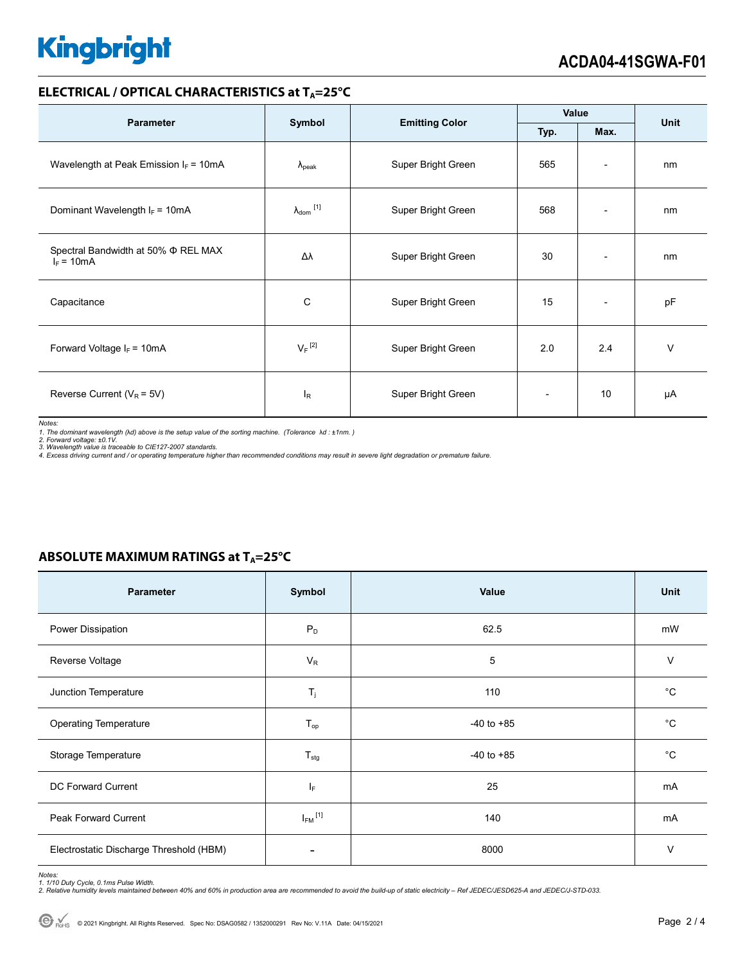### **ELECTRICAL / OPTICAL CHARACTERISTICS at T<sub>A</sub>=25°C**

| <b>Parameter</b>                                    | Symbol                       |                       | Value                    |                          | <b>Unit</b> |
|-----------------------------------------------------|------------------------------|-----------------------|--------------------------|--------------------------|-------------|
|                                                     |                              | <b>Emitting Color</b> | Typ.                     | Max.                     |             |
| Wavelength at Peak Emission $I_F = 10mA$            | $\lambda_{\rm peak}$         | Super Bright Green    | 565                      | $\overline{\phantom{a}}$ | nm          |
| Dominant Wavelength $I_F = 10mA$                    | $\lambda_{\mathsf{dom}}$ [1] | Super Bright Green    | 568                      | $\overline{\phantom{0}}$ | nm          |
| Spectral Bandwidth at 50% Φ REL MAX<br>$I_F = 10mA$ | Δλ                           | Super Bright Green    | 30                       | $\overline{\phantom{a}}$ | nm          |
| Capacitance                                         | C                            | Super Bright Green    | 15                       | $\overline{\phantom{a}}$ | pF          |
| Forward Voltage $I_F = 10mA$                        | $V_F$ <sup>[2]</sup>         | Super Bright Green    | 2.0                      | 2.4                      | V           |
| Reverse Current ( $V_R$ = 5V)                       | $I_R$                        | Super Bright Green    | $\overline{\phantom{0}}$ | 10                       | μA          |

*Notes:* 

1. The dominant wavelength (λd) above is the setup value of the sorting machine. (Tolerance λd : ±1nm. )<br>2. Forward voltage: ±0.1V.<br>3. Wavelength value is traceable to CIE127-2007 standards.<br>4. Excess driving current and

### **ABSOLUTE MAXIMUM RATINGS at T<sub>A</sub>=25°C**

| <b>Parameter</b>                        | Symbol                   | Value          | Unit        |
|-----------------------------------------|--------------------------|----------------|-------------|
| Power Dissipation                       | $P_D$                    | 62.5           | mW          |
| Reverse Voltage                         | $V_R$                    | 5              | $\vee$      |
| Junction Temperature                    | $\mathsf{T}_j$           | 110            | $^{\circ}C$ |
| <b>Operating Temperature</b>            | $T_{op}$                 | $-40$ to $+85$ | $^{\circ}C$ |
| Storage Temperature                     | $T_{\text{stg}}$         | $-40$ to $+85$ | $^{\circ}C$ |
| DC Forward Current                      | IF.                      | 25             | mA          |
| Peak Forward Current                    | $I_{FM}$ <sup>[1]</sup>  | 140            | mA          |
| Electrostatic Discharge Threshold (HBM) | $\overline{\phantom{a}}$ | 8000           | $\vee$      |

Notes:<br>1. 1/10 Duty Cycle, 0.1ms Pulse Width.<br>2. Relative humidity levels maintained between 40% and 60% in production area are recommended to avoid the build-up of static electricity – Ref JEDEC/JESD625-A and JEDEC/J-STD-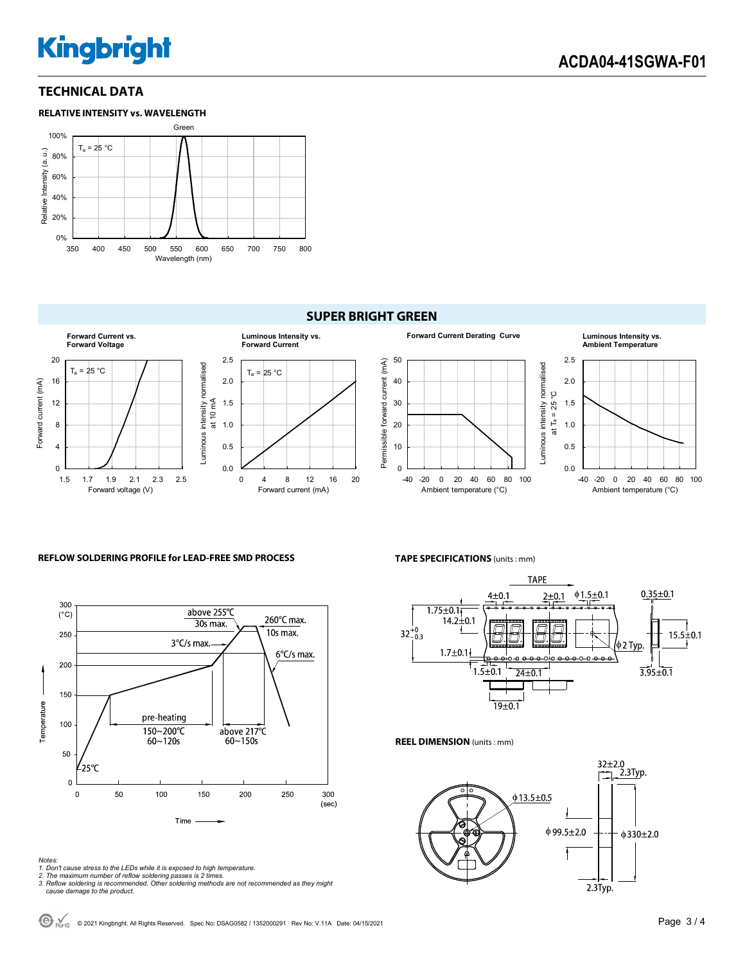### **TECHNICAL DATA**



### **SUPER BRIGHT GREEN**



#### **REFLOW SOLDERING PROFILE for LEAD-FREE SMD PROCESS**



#### *Notes:*

*1. Don't cause stress to the LEDs while it is exposed to high temperature.* 



*2. The maximum number of reflow soldering passes is 2 times. 3. Reflow soldering is recommended. Other soldering methods are not recommended as they might cause damage to the product.* 

**TAPE SPECIFICATIONS** (units : mm)



**REEL DIMENSION** (units : mm)